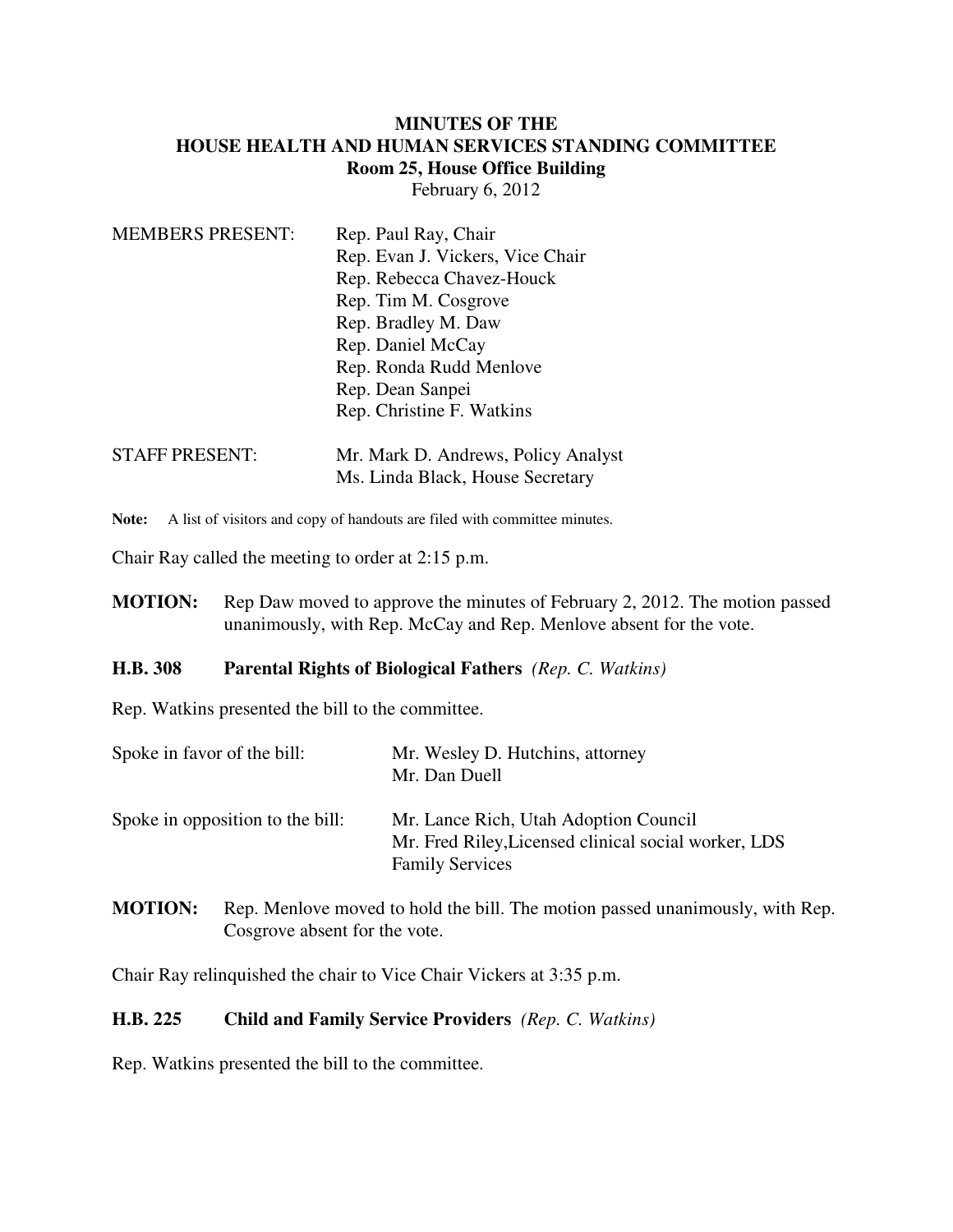## **MINUTES OF THE HOUSE HEALTH AND HUMAN SERVICES STANDING COMMITTEE Room 25, House Office Building** February 6, 2012

MEMBERS PRESENT: Rep. Paul Ray, Chair Rep. Evan J. Vickers, Vice Chair Rep. Rebecca Chavez-Houck Rep. Tim M. Cosgrove Rep. Bradley M. Daw Rep. Daniel McCay Rep. Ronda Rudd Menlove Rep. Dean Sanpei Rep. Christine F. Watkins STAFF PRESENT: Mr. Mark D. Andrews, Policy Analyst Ms. Linda Black, House Secretary

Note: A list of visitors and copy of handouts are filed with committee minutes.

Chair Ray called the meeting to order at 2:15 p.m.

**MOTION:** Rep Daw moved to approve the minutes of February 2, 2012. The motion passed unanimously, with Rep. McCay and Rep. Menlove absent for the vote.

## **H.B. 308 Parental Rights of Biological Fathers** *(Rep. C. Watkins)*

Rep. Watkins presented the bill to the committee.

| Spoke in favor of the bill:      | Mr. Wesley D. Hutchins, attorney<br>Mr. Dan Duell                                                                       |
|----------------------------------|-------------------------------------------------------------------------------------------------------------------------|
| Spoke in opposition to the bill: | Mr. Lance Rich, Utah Adoption Council<br>Mr. Fred Riley, Licensed clinical social worker, LDS<br><b>Family Services</b> |

**MOTION:** Rep. Menlove moved to hold the bill. The motion passed unanimously, with Rep. Cosgrove absent for the vote.

Chair Ray relinquished the chair to Vice Chair Vickers at 3:35 p.m.

## **H.B. 225 Child and Family Service Providers** *(Rep. C. Watkins)*

Rep. Watkins presented the bill to the committee.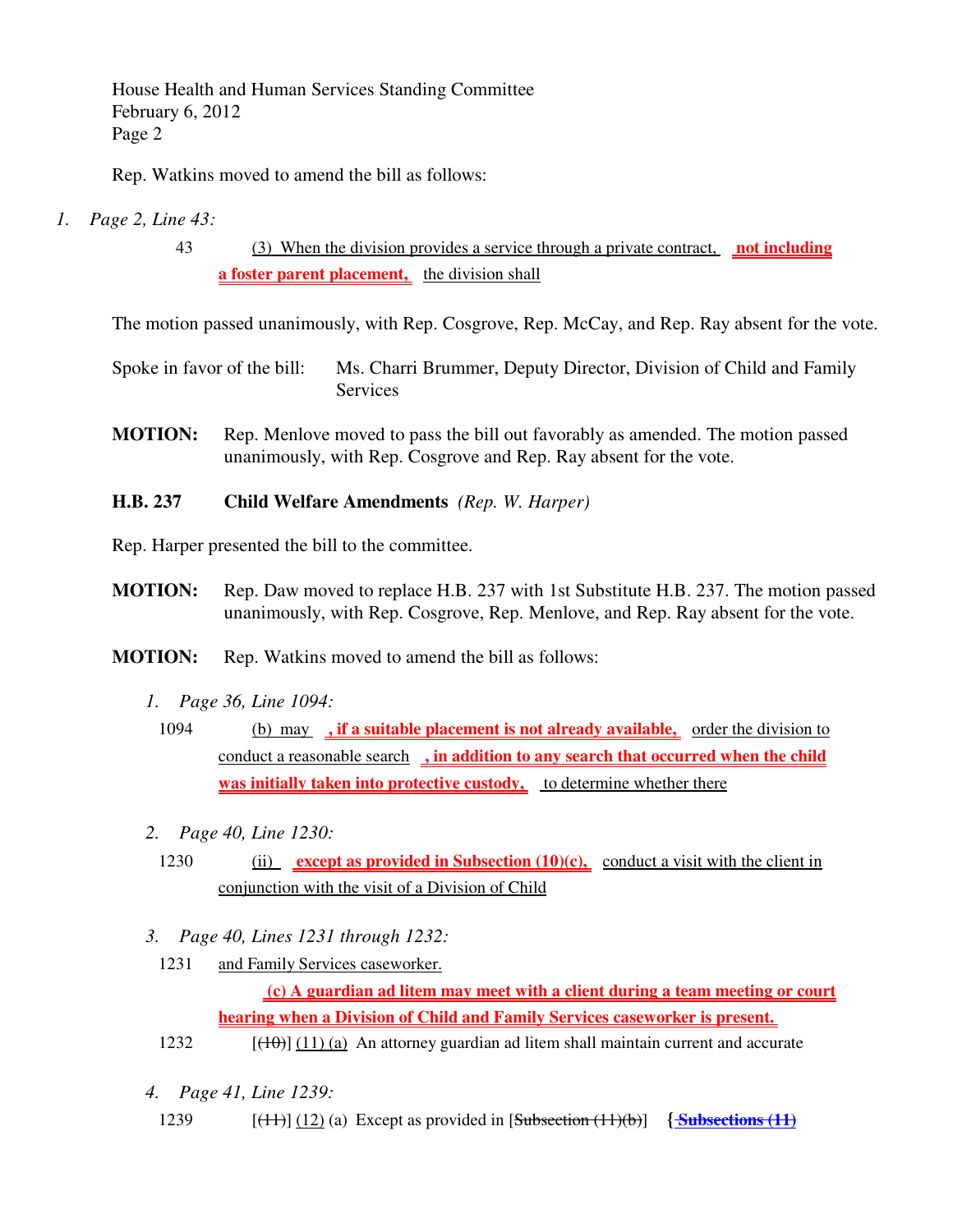House Health and Human Services Standing Committee February 6, 2012 Page 2

Rep. Watkins moved to amend the bill as follows:

- *1. Page 2, Line 43:*
	- 43 (3) When the division provides a service through a private contract, **not including a foster parent placement,** the division shall

The motion passed unanimously, with Rep. Cosgrove, Rep. McCay, and Rep. Ray absent for the vote.

- Spoke in favor of the bill: Ms. Charri Brummer, Deputy Director, Division of Child and Family **Services**
- **MOTION:** Rep. Menlove moved to pass the bill out favorably as amended. The motion passed unanimously, with Rep. Cosgrove and Rep. Ray absent for the vote.
- **H.B. 237 Child Welfare Amendments** *(Rep. W. Harper)*

Rep. Harper presented the bill to the committee.

- **MOTION:** Rep. Daw moved to replace H.B. 237 with 1st Substitute H.B. 237. The motion passed unanimously, with Rep. Cosgrove, Rep. Menlove, and Rep. Ray absent for the vote.
- **MOTION:** Rep. Watkins moved to amend the bill as follows:
	- *1. Page 36, Line 1094:*
	- 1094 (b) may **, if a suitable placement is not already available,** order the division to conduct a reasonable search **, in addition to any search that occurred when the child was initially taken into protective custody,** to determine whether there
	- *2. Page 40, Line 1230:*
		- 1230 (ii) **except as provided in Subsection (10)(c),** conduct a visit with the client in conjunction with the visit of a Division of Child
	- *3. Page 40, Lines 1231 through 1232:*
		- 1231 and Family Services caseworker.

 **(c) A guardian ad litem may meet with a client during a team meeting or court hearing when a Division of Child and Family Services caseworker is present.** 

- 1232  $[(10)(11)(a)$  An attorney guardian ad litem shall maintain current and accurate
- *4. Page 41, Line 1239:*
- 1239 [(11)] (12) (a) Except as provided in [Subsection (11)(b)] **{ Subsections (11)**